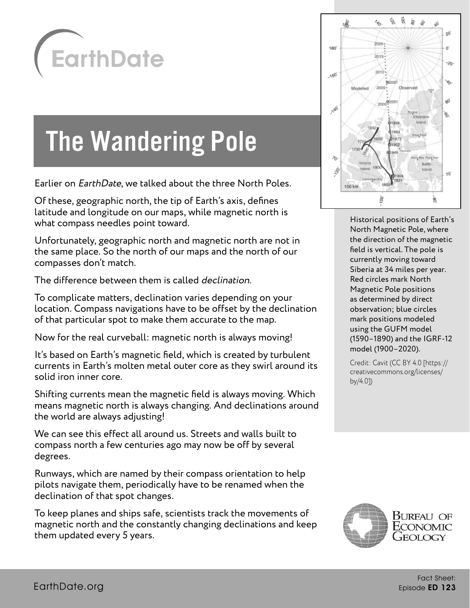

# The Wandering Pole

Earlier on EarthDate, we talked about the three North Poles.

Of these, geographic north, the tip of Earth's axis, defines latitude and longitude on our maps, while magnetic north is what compass needles point toward.

Unfortunately, geographic north and magnetic north are not in the same place. So the north of our maps and the north of our compasses don't match.

The difference between them is called declination.

To complicate matters, declination varies depending on your location. Compass navigations have to be offset by the declination of that particular spot to make them accurate to the map.

Now for the real curveball: magnetic north is always moving!

It's based on Earth's magnetic field, which is created by turbulent currents in Earth's molten metal outer core as they swirl around its solid iron inner core.

Shifting currents mean the magnetic field is always moving. Which means magnetic north is always changing. And declinations around the world are always adjusting!

We can see this effect all around us. Streets and walls built to compass north a few centuries ago may now be off by several degrees.

Runways, which are named by their compass orientation to help pilots navigate them, periodically have to be renamed when the declination of that spot changes.

To keep planes and ships safe, scientists track the movements of magnetic north and the constantly changing declinations and keep them updated every 5 years.



Historical positions of Earth's North Magnetic Pole, where the direction of the magnetic field is vertical. The pole is currently moving toward Siberia at 34 miles per year. Red circles mark North Magnetic Pole positions as determined by direct observation; blue circles mark positions modeled using the GUFM model (1590–1890) and the IGRF-12 model (1900–2020).

Credit: Cavit (CC BY 4.0 [https:// creativecommons.org/licenses/ by/4.0])

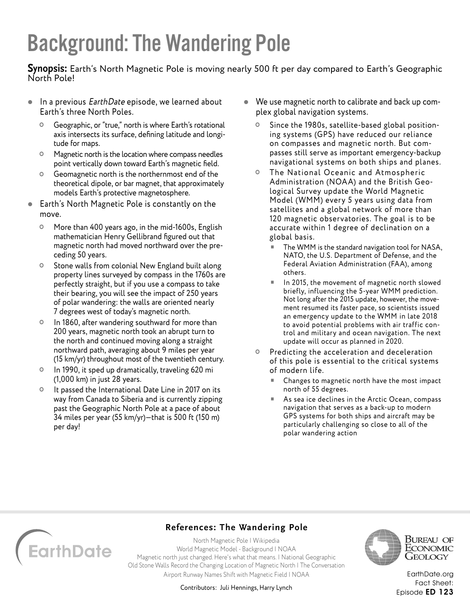### Background: The Wandering Pole

**Synopsis:** Earth's North Magnetic Pole is moving nearly 500 ft per day compared to Earth's Geographic North Pole!

- In a previous *EarthDate* episode, we learned about Earth's three North Poles.
	- Geographic, or "true," north is where Earth's rotational axis intersects its surface, defining latitude and longitude for maps.
	- Magnetic north is the location where compass needles point vertically down toward Earth's magnetic field.
	- Geomagnetic north is the northernmost end of the theoretical dipole, or bar magnet, that approximately models Earth's protective magnetosphere.
- Earth's North Magnetic Pole is constantly on the move.
	- More than 400 years ago, in the mid-1600s, English mathematician Henry Gellibrand figured out that magnetic north had moved northward over the preceding 50 years.
	- **O** Stone walls from colonial New England built along property lines surveyed by compass in the 1760s are perfectly straight, but if you use a compass to take their bearing, you will see the impact of 250 years of polar wandering: the walls are oriented nearly 7 degrees west of today's magnetic north.
	- In 1860, after wandering southward for more than 200 years, magnetic north took an abrupt turn to the north and continued moving along a straight northward path, averaging about 9 miles per year (15 km/yr) throughout most of the twentieth century.
	- In 1990, it sped up dramatically, traveling 620 mi (1,000 km) in just 28 years.
	- <sup>o</sup> It passed the International Date Line in 2017 on its way from Canada to Siberia and is currently zipping past the Geographic North Pole at a pace of about 34 miles per year (55 km/yr)—that is 500 ft (150 m) per day!
- We use magnetic north to calibrate and back up complex global navigation systems.
	- Since the 1980s, satellite-based global positioning systems (GPS) have reduced our reliance on compasses and magnetic north. But compasses still serve as important emergency-backup navigational systems on both ships and planes.
	- The National Oceanic and Atmospheric Administration (NOAA) and the British Geological Survey update the World Magnetic Model (WMM) every 5 years using data from satellites and a global network of more than 120 magnetic observatories. The goal is to be accurate within 1 degree of declination on a global basis.
		- The WMM is the standard navigation tool for NASA, NATO, the U.S. Department of Defense, and the Federal Aviation Administration (FAA), among others.
		- In 2015, the movement of magnetic north slowed briefly, influencing the 5-year WMM prediction. Not long after the 2015 update, however, the movement resumed its faster pace, so scientists issued an emergency update to the WMM in late 2018 to avoid potential problems with air traffic control and military and ocean navigation. The next update will occur as planned in 2020.
	- o Predicting the acceleration and deceleration of this pole is essential to the critical systems of modern life.
		- Changes to magnetic north have the most impact north of 55 degrees.
		- As sea ice declines in the Arctic Ocean, compass navigation that serves as a back-up to modern GPS systems for both ships and aircraft may be particularly challenging so close to all of the polar wandering action



### **References: The Wandering Pole**

[North Magnetic Pole | Wikipedia](https://en.wikipedia.org/wiki/North_Magnetic_Pole) [World Magnetic Model - Background | NOAA](https://www.ngdc.noaa.gov/geomag/WMM/back.shtml) [Magnetic north just changed. Here's what that means. | National Geographic](https://www.nationalgeographic.com/science/2019/02/magnetic-north-update-navigation-maps/) [Old Stone Walls Record the Changing Location of Magnetic North | The Conversation](https://theconversation.com/old-stone-walls-record-the-changing-location-of-magnetic-north-112827) [Airport Runway Names Shift with Magnetic Field | NOAA](https://www.ncei.noaa.gov/news/airport-runway-names-shift-magnetic-field)



Bureau of ECONOMIC Geology

Contributors: Juli Hennings, Harry Lynch

[EarthDate.org](http://www.earthdate.org) Fact Sheet: Episode ED 123